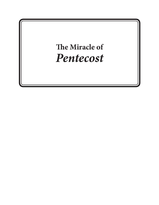# **The Miracle of** *Pentecost*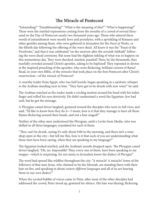## **The Miracle of Pentecost**

"Astounding!" "Dumbfounding!" "What is the meaning of this?" "What is happening?" These were the startled expressions coming from the mouths of a crowd of several thousand on the Day of Pentecost nearly two thousand years ago. Those who uttered these words of astonishment were mostly Jews and proselytes, with a sprinkling of Romans and other gentiles among them, who were gathered in Jerusalem for the *Feast of Weeks*, or the fiftieth day following the offering of the wave sheaf. All knew it was the "Feast of the Firstfruits," and that it was celebrated "on the morrow after the seventh Sabbath" following the wave sheaf ceremony. But none had the slightest inkling of what was to happen on this momentous day. They were shocked, startled, puzzled! Then, by the thousands, they tearfully crowded around Christ's apostles, asking to be baptized! They repented in droves at the inspired preaching of the apostles, who wore flickering, brilliant crowns of flame! Read, in your own Bible, of the *miracles* that took place on the first Pentecost after Christ's resurrection—of the *miracle of Pentecost!*

A swarthy trader from Egypt, who was half Jewish, began speaking in a sardonic whisper to the Arabian standing next to him. "They have got to be drunk with new wine!" he said.

The Arabian watched as the trader made a circling motion around his head with his index finger and rolled his eyes derisively. He didn't understand a word the Egyptian–Jew had said, but he got the message.

A Phrygian camel driver laughed, gestured toward the disciples who were in full view, and said, "I'd like to know how they do it—I mean, how is it that they manage to have all those flames flickering around their heads, and not a hair singed?"

Neither of the other men understood the Phrygian, until a Levite from Media, who was skilled in all three languages, translated for each of them.

"They can't be drunk, seeing it's only about 9:00 in the morning, and there isn't a wine shop open in the city—but tell me this, how is it that each of you are understanding what these men have been saying, when they are speaking in my language?"

The Egyptian looked startled, and the Arabian's mouth dropped open. The Phrygian camel driver laughed, "Oh, no. Impossible! They, every one of them, have been speaking in my tongue—which is surprising, for not many in Jerusalem know the dialect of Phrygia!"

The word had spread like wildfire throughout the city: "A miracle! A miracle! Some of the followers of that man Jesus, who claimed to be the Messiah, are standing there with their hair on fire, and speaking in about *sixteen different languages* and all of us are hearing them in our *own dialect!"*

When the excited babble of voices came to Peter, after most of the other disciples had addressed the crowd, Peter stood up, gestured for silence. His hair was blazing; flickering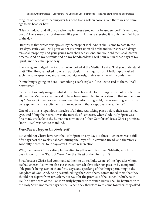The Miraclw od Pentecost Copyright © The Church of God, International http://cgi.org/the-miracle-of-pentecost

tongues of flame were leaping over his head like a golden corona; yet, there was no damage to his head or hair!

"Men of Judaea, and all of you who live in Jerusalem, let this be understood! Listen to my words! These men are not drunken, like you think they are, seeing it is only the third hour of the day.

"But this is that which was spoken by the prophet Joel; 'And it shall come to pass in the last days, saith God, I will pour out of my Spirit upon all flesh: and your sons and daughters shall prophesy, and your young men shall see visions, and your old men shall dream dreams: And on my servants and on my handmaidens I will pour out in those days of my Spirit; and they shall prophesy.'"

The Phrygian nudged the Arabian, who looked at the Median Levite. "Did you understand that?" The Phrygian asked no one in particular. The linguist from Media rapidly asked each the same question, and all nodded vigorously, their eyes wide with wonderment.

"Something is going on here—something I can't explain!" the Levite said to them. "We'd better listen!"

Can any of us truly imagine what it must have been like for the large crowd of people from all over the Mediterranean world to have been assembled in Jerusalem on that momentous day? Can we picture, for even a moment, the astonishing sight, the astounding words that were spoken, or the excitement and wonderment that swept over the audience?

One of the most stupendous miracles of all time was taking place before their astonished eyes, and filling their ears. It was the miracle of Pentecost, when God's Holy Spirit was first made available to the human race; when the "other Comforter" Jesus Christ promised (John 14:26) was sent to mankind.

#### *Why Did It Happen On Pentecost?*

But could not Christ have sent the Holy Spirit on any day He chose? Pentecost was a full fifty days past the weekly Sabbath during the Days of Unleavened Bread, and therefore a good fifty–three-or–four days after Christ's resurrection!

Why, then, were Christ's disciples meeting together on this annual Sabbath, which had been known as the "Feast of Weeks," or the "Feast of the Firstfruits"?

First, because Christ had commanded them to do so. Luke wrote, of the "apostles whom He had chosen: To whom also He shewed Himself alive after His passion by many infallible proofs, being seen of them forty days, and speaking of the things pertaining to the Kingdom of God: And, being assembled together with them, commanded them that they should not depart from Jerusalem, but wait for the promise of the Father, 'Which,' saith He, 'Ye have heard of me. For John truly baptized with water; but ye shall be baptized with the Holy Spirit not many days hence.' When they therefore were come together, they asked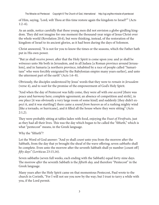of Him, saying, 'Lord, wilt Thou at this time restore again the kingdom to Israel?'" (Acts  $1:2-6$ ).

As an aside, notice carefully that these young men did not envision a globe-girdling kingdom. They did not imagine for one moment the thousand-year reign of Jesus Christ over the whole world (Revelation 20:4), but were thinking, instead, of the restoration of the kingdom of Israel to its ancient glories, as it had been during the days of Solomon.

Christ answered, "It is not for you to know the times or the seasons, which the Father hath put in His own power.

"But ye shall *receive power,* after that the Holy Spirit is come upon you: and ye shall be *witnesses* unto Me both in Jerusalem, and in all Judaea [a Roman province around Jerusalem], and in Samaria [a northern province, inhabited by a race of people called "Samaritans" who were forcibly emigrated by the Babylonian empire many years earlier], and unto the uttermost part of the earth" (Acts 1:6–8).

Obviously, the disciples understood by Jesus' words that they were to *remain in Jerusalem* (verse 4), and to *wait* for the promise of the empowerment of God's Holy Spirit.

"And when the day of Pentecost was fully come, they were *all* with *one accord* [there was peace and *harmony* here; complete agreement; an absence of competition and strife], in *one place* [it was obviously a very large room of some kind] and suddenly [they didn't expect it, and it was startling!] there came a *sound from heaven* as of a rushing mighty wind [like a tornado, or hurricane], and it filled all the house where they were sitting" (Acts  $2:1,2$ ).

They were probably sitting at tables laden with food, enjoying the *Feast of Firstfruits,* just as they had all their lives. This was the day which began to be called the "fiftieth," which is what "pentecost" means, in the Greek language.

Why the "fiftieth"?

Let the Word of God answer: "And ye shall *count* unto you from the morrow after the Sabbath, from the day that ye brought the sheaf of the wave offering; seven *sabbaths* shall be complete. Even unto the morrow after the seventh Sabbath shall ye number [count off] *fifty days"* (Leviticus 23:15,16).

Seven sabbaths (seven full weeks, each ending with the Sabbath) equal forty-nine days. The morrow *after* the seventh Sabbath is the *fiftieth day,* and therefore "Pentecost" in the Greek language.

Many years after the Holy Spirit came on that momentous Pentecost, Paul wrote to the church in Corinth, "For I will not see you now by the way; but I trust to tarry a while with you, if the Lord permit.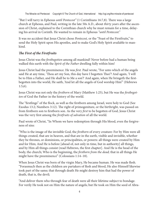"But I will tarry in Ephesus *until Pentecost"* (1 Corinthians 16:7,8). There was a large church at Ephesus, and Paul, writing in the late 50s A.D., about *thirty years* after the ascension of Christ, explained to the Corinthian church why he must remain for a time, delaying his arrival in Corinth. He wanted to remain in Ephesus *"until Pentecost."*

It was no accident that Jesus Christ chose *Pentecost,* or the "Feast of the Firstfruits," to send the Holy Spirit upon His apostles, and to make God's Holy Spirit available to mankind.

### *The First of the Firstfruits*

Jesus Christ was the *firstbegotten* among all mankind! Never before had a human being walked this earth with the *Spirit of the Father* dwelling fully within him!

Jesus Christ had the preeminence. He was *first.* Paul wrote, "For unto which of the angels said He at any time, 'Thou art my Son, this day have I begotten Thee'? And again, 'I will be to Him a Father, and He shall be to Me a son'? And again, when He bringeth the firstbegotten into the world, He saith, 'And let all the angels of God worship Him'" (Hebrews 1:5,6).

Jesus Christ was not only the *firstborn* of Mary (Matthew 1:25), but He was the *firstbegotten* of God the Father in the history of the world.

The "firstlings" of the flock, as well as the firstborn among Israel, were holy to God (See Exodus 13:2; Numbers 3:12). The right of primogeniture, or the birthright, was passed on from firstborn son to firstborn son. As the very *first* to be begotten of God, Jesus Christ was the very first among the *firstfruits of salvation* of all the world.

Paul wrote of Christ, "In Whom we have redemption through His blood, even the forgiveness of sins:

"Who is the image of the invisible God, the *firstborn* of every creature: For by Him were all things created, that are in heaven, and that are in the earth, visible and invisible, whether they be thrones, or dominions, or principalities, or powers: all things were created by Him and for Him; And He is before [ahead of, not only in time, but in authority] all things, and by Him all things consist (read Hebrews, the first chapter]. And He is the head of the body, the church; Who is the beginning, the *firstborn from the dead;* that in all things He might have the preeminence" (Colossians 1:14–18).

When Jesus Christ was born of the virgin Mary, He became human. He was made flesh. "Forasmuch then as the children are partakers of flesh and blood, He also Himself likewise took part of the same; that through death He might destroy him that had the power of death, that is, the devil;

"And deliver them who through fear of death were all their lifetime subject to bondage. For verily He took not on Him the nature of angels; but He took on Him the seed of Abra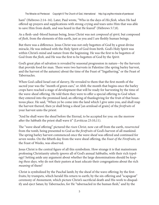ham" (Hebrews 2:14–16). Later, Paul wrote, "Who in the days of *His flesh,* when He had offered up prayers and supplications with strong crying and tears unto Him that was able to save Him from death, and was heard in that He feared" (Hebrews 5:7,8).

As a flesh–and–blood human being, Jesus Christ was not *composed of spirit,* but composed of *flesh,* from the elements of this earth, just as you and I are fleshly human beings.

But there was a difference. Jesus Christ was not only begotten of God by a great divine miracle, He was imbued with the Holy Spirit of God from birth. God's Holy Spirit was within Christ's mind and nature from the beginning. He was the first to be begotten of God from the *flesh,* and He was the first to be begotten of God by the *Spirit.*

God's great plan of salvation is revealed by seasonal progression in nature—by the *harvests* that provide food for man. There were two harvests in Palestine (the spring barley harvest, and the harvest of the autumn) about the time of the Feast of "Ingathering," or the Feast of Tabernacles.

When God called Israel out of slavery, He revealed to them that the first month of the sacred year was the "month of green ears," or *Abib,* the month that begins once the barley crops have reached a stage of development that will be ready for harvesting by the time of the wave-sheaf offering. He told them they were to offer a special offering to God when they entered into the promised land; an offering of thanksgiving for the fruit of that bounteous place. He said, "When ye be come into the land which I give unto you, and shall reap the harvest thereof, then ye shall bring a sheaf [an armload of grain] of the *firstfruits* of your harvest unto the priest:

"And he shall wave the sheaf before the Eternal, to be accepted for you: on the morrow after the Sabbath the priest shall wave it" (Leviticus 23:10,11).

The "wave sheaf offering" pictured the *risen Christ,* now cut off from the earth, *resurrected* from the tomb, being presented to God as the *firstfruits* of God's harvest of all mankind. The spring barley harvest commenced once the wave sheaf was offered and continued for seven weeks. On the fiftieth day from the wave sheaf offering, the *Feast of the Firstfruits,* or the Feast of Weeks, was observed.

Jesus Christ is the central figure of all this symbolism. How strange it is that mainstream professing Christianity utterly *ignores* all of God's annual Sabbaths, with their rich typology! Setting aside any argument about whether the large denominations should be *keeping these days,* why do not their pastors at least *educate* their congregations about the rich *meaning* of them?

Christ is symbolized by the Paschal lamb; by the sheaf of the wave offering; by the firstfruits; by trumpets, which herald His return to earth; by the sin-offering and "scapegoat" ceremony of Atonement, which picture Christ's sacrificial death and His work to disqualify and eject Satan; by Tabernacles, for He "tabernacled in the human flesh," and by the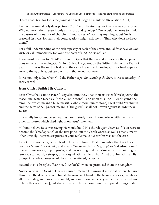The Miraclw od Pentecost Copyright © The Church of God, International http://cgi.org/the-miracle-of-pentecost

"Last Great Day," for He is the *Judge* Who will judge all mankind (Revelation 20:11).

Each of the annual holy days pictures *Christ* and His atoning work in one way or another. Why not teach them, even if only as history and typology? One would be prone to think the pastors of thousands of churches *studiously avoid* teaching anything about God's seasonal festivals, for fear their congregations might ask them, "Then why don't we keep them?"

For a full understanding of the rich tapestry of each of the seven annual feast days of God, write or call immediately for your free copy of *God's Seasonal Plan.*

It was most obvious to Christ's chosen disciples that they would experience the stupendous miracle of receiving God's Holy Spirit, His *power,* on the "fiftieth" day, or the Feast of Sabbaths! It was the next holy day on the sacred calendar following Christ's final appearance to them; only about ten days from that wondrous event!

It was not only a day when God the Father *begat thousands of children,* it was a *birthday* of sorts, as well!

### **Jesus Christ Builds His Church**

Jesus Christ had said to Peter, "I say also unto thee, That thou art Peter [Greek: *petros,* the masculine, which means, a "pebble," or "a stone"], and upon this Rock [Greek: *petra,* the feminine, which means a huge massif, a whole mountain of stone] I will build My church, and the gates of hell [*hades,* meaning "the grave"] shall not prevail against it" (Matthew 16:18).

This vitally important verse requires careful study; careful comparison with the many other scriptures which shed light upon Jesus' statement.

Millions believe Jesus was saying He would build His church *upon Peter,* as if Peter were to become the "chief apostle," or the first pope. But the Greek words, as well as many, many other divinely-inspired scriptures of your Bible make it clear this was not the case.

Jesus Christ, not Peter, is the Head of His true church. First, remember that the Greek word for "church" is *ekklesia,* and means "an assembly," or "a group," or "called-out ones." The word means a group of *people,* and has nothing to do whatsoever with a building, a temple, a cathedral, a steeple, or an organizational hierarchy. Christ prophesied that His group of called-out ones would be small, scattered, *persecuted.*

He said to His disciples, "fear not, *little* flock," when He promised them the Kingdom.

Notice Who is the *Head* of Christ's church: "Which He wrought in Christ, when He raised Him from the dead, and set Him at His own right hand in the heavenly places, Far above all principality, and power, and might, and dominion, and every name that is named, not only in this world [age], but also in that which is to come: And hath put all things under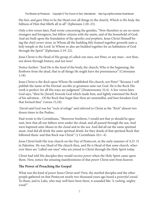His feet, and gave Him to be the Head over all things to the church, Which is *His body,* the fullness of Him that filleth all in all" (Ephesians 1:20–23).

Only a few verses later, Paul wrote concerning the gentiles, "Now therefore ye are no more strangers and foreigners, but fellow citizens with the saints, and of the household of God; And are built upon the foundation of the *apostles and prophets,* Jesus Christ Himself being the *chief corner stone;* in Whom all the building fitly framed together groweth unto a holy temple in the Lord: In Whom ye also are builded together for an habitation of God through the Spirit" (Ephesians 2:19–22).

Jesus Christ is the Head of His group of called-out ones, not Peter, or any man—not then, not down through history, and not now!

Notice further: "And He is the *head* of the body, the church; Who is the beginning, the firstborn from the dead, that in all things He might have the preeminence" (Colossians 1:18).

Jesus Christ is the *Rock* upon Whom He established His church, not Peter! "Because I will publish the name of the Eternal: ascribe ye greatness unto our God. He is the Rock His work is perfect: for all His ways are judgment" (Deuteronomy 32:4). A few verses later, God says, "then he [Israel] forsook God which made him, and lightly esteemed the Rock of his salvation…Of the Rock that begat thee thou art unmindful, and hast forsaken God that formed thee" (verses 15,18).

 David said God was his "rock of refuge" and referred to Christ as the *"Rock"* almost two dozen times in the Psalms.

Paul wrote to the Corinthians, "Moreover brethren, I would not that ye should be ignorant, how that all our fathers were under the cloud, and all passed through the sea; And were baptized unto Moses in the cloud and in the sea: And did all eat the same spiritual meat; And did all drink the same spiritual drink: for they drank of that spiritual Rock that followed them: and that Rock was Christ" (1 Corinthians 10:1–4).

Jesus Christ built His true church on the Day of Pentecost, in the early summer of A.D. 31 in Palestine. He was Head of His church then, and He is Head of that *same* church, wherever there are "called-out ones" who are joined to Christ through the Holy Spirit today.

Christ had told His disciples they would receive *power* when the Holy Spirit came upon them. Now, notice the amazing manifestations of that *power* Christ sent from heaven:

#### **The Power of Preaching the Gospel**

What was the kind of *power* Jesus Christ sent? First, the startled disciples and the other people gathered on that Pentecost nearly two thousand years ago heard a *powerful sound.* To them, and to Luke, who may well have been there, it sounded like *"a rushing, mighty wind!"*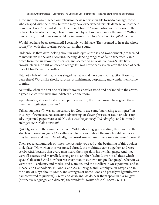Time and time again, when our television news reports terrible tornado damage, those who escaped with their lives, but who may have experienced terrible damage, or lost their homes, will say, "It sounded just like a freight train!" Anyone who has been close to the railroad tracks when a freight train thundered by will well remember the sound! With a *roar,* a deep, thunderous rumble, like a *hurricane,* the Holy Spirit of God *filled the room!*

Would you have been astonished? I certainly would have! They seemed to hear the whole room *filled* with this roaring, powerful, mighty sound!

Suddenly, as they were looking about in wide-eyed surprise and wonderment, *fire* seemed to materialize in the air! Flickering, leaping, dancing tongues of flame separated, came down from the air above the disciples, and seemed to *settle on their heads,* like fiery *crowns;* blazing, bright yellow and orange *fire* was now clearly visible atop the head of each one of Christ's twelve apostles!

Yet, not a hair of their heads was singed. What would have been our reaction if we had been there? Words like shock, surprise, astonishment, perplexity, and wonderment come to mind.

Naturally, when the first one of Christ's twelve apostles stood and beckoned to the crowd, a great *silence* must have immediately filled the room!

Apprehensive, shocked, astonished, perhaps fearful, the crowd would have given these men their *undivided attention!*

Talk about *power!* It was not necessary for God to use some "marketing techniques" on this Day of Pentecost. No attractive advertising, or clever phrases, or radio or television ads, or printed pages were used. No, this was the *power of God Almighty,* and it immediately *got their whole attention!*

Quickly, some of their number ran out. Wildly shouting, gesticulating, they ran into the streets of Jerusalem (Acts 2:6), calling out to everyone about the unbelievable *miracles* they had seen and heard. Gradually, the crowd swelled, until there were *thousands* present!

Then, repeated hundreds of times, the scenario you read at the beginning of this booklet took place. "Now when this was noised abroad, the multitude came together, and were *confounded,* because that every man heard them speak in his own language. And they were all *amazed* and marvelled, saying one to another, 'Behold, are not all these which speak Galilaeans? And how hear we every man in our own tongue [language], wherein we were born? Parthians, and Medes, and Elamites, and the dwellers in Mesopotamia, and in Judaea, and Cappodocia, in Pontus, and Asia, Phrygia, and Pamphylia, in Egypt, and in the parts of Libya about Cyrene, and strangers of Rome, Jews and proselytes [gentiles who had converted to Judaism], Cretes and Arabians, we do hear them speak in *our tongues* [our native languages and dialects] the wonderful works of God'" (Acts 2:6–11).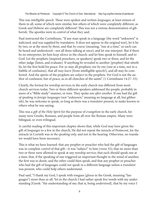This was *intelligible speech.* These were spoken and written *languages;* at least sixteen of them in all, some of which were similar, but others of which were completely different, as Greek and Hebrew are completely different! This was not a riotous demonstration of gibberish. The apostles were in *control* of what they said.

Paul instructed the Corinthians, "If any man speak in a language [the word "unknown" is italicized, and was supplied by translators. It does not appear in the original text], let it be by two, or at the most by three, and that *by course* [meaning, "one at a time," so each can be heard and understood—not all three talking at once]; and let one interpret. But if there be no interpreter, let him *keep silence* in the church: and let him speak to himself, and to God. Let the prophets [inspired preachers, or speakers] speak two or three, and let the other judge [listen, and evaluate]. If anything be revealed to another [prophet] that sitteth by, let the first hold his peace. For ye may all prophesy *one by one* [one at a time, not in a babble of confusion], that all *may learn* [from intelligible speech!], and all may be comforted. And the spirits of the prophets are *subject* to the prophets. For God is not the author of confusion, but of peace, as in all churches of the saints" (1 Corinthians 14:27–33).

Clearly, the format for worship services in the early church was different from most church services today. Two or three different speakers addressed the people, probably in more of a "Bible study" manner, or tone. They spoke *one after another.* If one had the gift *of speaking in foreign languages* (not "unknown," meaning no language at all, but gibberish), he was welcome to speak, so long as there was a *translator* present, to make known to others what he was saying.

This was a *gift of the Holy Spirit* for the purpose of *evangelism* in the early church, for many were Greeks, Romans, and people from all over the Roman empire. Many were bilingual, or even trilingual.

A careful reading of this important chapter shows that, while God may have given the gift of *languages* to a few in the church, He did not repeat the miracle of Pentecost, for the miracle in Corinth was *in the speaking only,* and not in the hearing. Otherwise, no translator would have been necessary.

This is what we have learned: that any prophet or preacher who had the gift of languages was in complete *control* of that gift—it was "subject" to him (verse 32); that no more than two or three were allowed to speak at any worship service; that each should speak one at a time; that, if the speaking of one triggered an important thought in the mind of another, the first was to desist, and the other could then speak; and that any prophet or preacher who had the gift of languages could *not* speak in a different language unless a *translator* was present, who could help others understand.

Paul said, "I thank my God, I speak with tongues [*glossa* in the Greek, meaning "languages"] more than ye all: Yet in the church I had rather speak five words with my understanding [Greek: "the understanding of me; that is, being *understood*], that by my voice I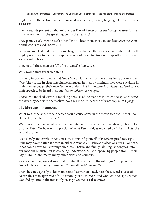The Miraclw od Pentecost Copyright © The Church of God, International http://cgi.org/the-miracle-of-pentecost

might teach others also, than ten thousand words in a [foreign] language" (1 Corinthians 14:18,19).

The thousands present on that miraculous Day of Pentecost *heard intelligible speech!* The miracle was both in the speaking, *and* in the hearing!

They plainly exclaimed to each other, "We do hear them speak in *our languages* the Wonderful works of God" (Acts 2:11).

But some mocked in derision. Some laughed, ridiculed the apostles, no doubt thinking the mighty roaring wind and the leaping crowns of flickering fire on the apostles' heads was some kind of trick.

They said, "These men are full of new wine!" (Acts 2:13).

Why would they say such a thing?

It is very important to note that God's Word plainly tells us these apostles spoke *one at a time!* They spoke in clear, intelligible language. In their own minds, they were speaking in their own language, their own Galilean dialect. But in the *miracle of Pentecost,* God caused their speech to be heard in about *sixteen different languages.*

Those who mocked were not mocking because of the manner in which the apostles *acted,* the way they deported themselves. No, they mocked because of *what they were saying!*

#### **The Message of Pentecost**

What was it the apostles said which would cause some in the crowd to ridicule them, to claim they had to be "drunk"?

We do not have the record of any of the statements made by the other eleven, who spoke prior to Peter. We have only a portion of what Peter said, as recorded by Luke, in Acts, the second chapter.

Read slowly and carefully Acts 2:14–40 to remind yourself of Peter's inspired message. Luke may have written it down in either Aramaic, an Hebrew dialect, or Greek—or both. It has come down to us through the Greek, Latin, and finally Old English tongues, into our modern English. But it was being understood, as Peter spoke, by people from Arabia, Egypt, Rome, and many, many other cities and countries!

Peter denied they were drunk, and insisted this was a fulfillment of Joel's prophecy of God's Holy Spirit being poured out "upon all flesh" (verse 17).

Then, he came quickly to his main point: "Ye men of Israel, hear these words: Jesus of Nazareth, a man approved of God among you by miracles and wonders and signs, which God did by Him in the midst of you, as ye yourselves also know: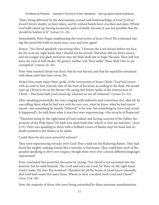"Him, being delivered by the determinate counsel and foreknowledge of God [God *allowed* Christ's death], ye have taken, and by wicked hands have crucified and slain: Whom God hath raised up, having loosed the pains of death: because it was not possible that He should be holden of it" (verses 22–24).

Immediately, Peter began emphasizing the *resurrection of Jesus Christ!* He continued stating this powerful truth in many ways, over and over again!

Notice: "For David speaketh concerning Him, 'I foresaw the Lord always before my face, for He is on my right hand, that I should not be moved: Therefore did my heart rejoice, and my tongue was glad; moreover also my flesh shall rest in hope: Because Thou wilt not leave my soul in hell [*hades,* the grave], neither wilt Thou suffer Thine Holy One to see corruption" (verses 24–26).

Peter then insisted David was *dead,* that he was buried, and that his sepulchre remained with them until that time (verse 29).

Notice how many times Peter spoke of the *resurrection* of Jesus Christ: "God had sworn with an oath to him [David], that of the fruit of his loins, according to the flesh, He would raise up Christ to sit on his throne; He seeing this before spake of the resurrection of Christ…This Jesus hath God raised up, whereof we are all witnesses" (verses 25–32).

After speaking powerfully, his voice ringing with authority and conviction (for, after all, he was telling them what he had *seen with his own eyes,* what he knew, what he had experienced—not something he merely "believed" to be true, but something he *knew* had actually happened!), he told them what it was *they* were experiencing—the miracle of Pentecost!

"Therefore being by the right hand of God exalted, and having received of the Father the promise of the Holy Spirit, He hath now shed forth this, which ye now see and hear" (Acts 2:33). Peter was speaking to them with a brilliant crown of flames atop his head and no doubt pointed to the flames as he spoke.

Could there be any more powerful witness?

They were experiencing *miracles from God!* They could see the flickering flames. They had *heard* the mighty rushing sound, like a tornado or hurricane. They could hear each of the apostles speaking in *their own tongues,* though there were over a dozen different languages represented!

Peter concluded this powerful discourse by saying, "For David is *not* ascended into the heavens: but he saith himself, 'The Lord said unto my Lord, Sit Thou on My right hand, Until I make Thy foes Thy footstool.' Therefore let all the house of Israel know assuredly, that God hath made this same Jesus, Whom ye have crucified, both Lord and Christ!" (Acts 2:34–36).

Now, the majority of those who were being *astonished* by these awesome manifestations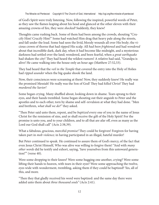of God's Spirit were truly listening. Now, following the inspired, powerful words of Peter, as they saw the flames leaping about his head and glanced at the other eleven with their amazing crowns of fire, they were *shocked!* Suddenly, they knew!

Thoughts came rushing back. Some of them had been among the crowds, shouting "Crucify Him! Crucify Him!" Some had watched Him drag that heavy pale along the streets, and fall under the load. Some had seen the livid, bloody wounds all over His body; the vicious crown of thorns that had ripped His scalp. All *had been frightened* and had *wondered* about that incredible dark, dark day, when it had become like midnight, and a mysterious darkness had settled over the land; wondered, and been fearful, when a *great earthquake* had shaken the city! They had heard the wildest rumors! A relative had said, "Grandpa is alive! He came walking into the house only an hour ago (Matthew 27:52,53).

They had heard that the *veil in the Temple* that covered the entry into the Holy of Holies had *ripped asunder* when the big quake shook the land.

Now, their consciences were screaming at them! Now, they suddenly knew! He really was the promised Messiah! He really was the Son of God! They had *killed Christ!* They had *murdered the Savior!*

Some began crying. Many shuffled about, looking down in shame. Tears sprang to their eyes, and their hands trembled. Some began shouting out their anguish to Peter and the apostles and to each other, torn by shame and self–revulsion at what they had done. "Men and brethren, *what shall we do?"* they asked.

"Then Peter said unto them, repent, and be *baptized* every one of you in the name of Jesus Christ for the remission of sins, and ye shall receive the gift of the Holy Spirit! For the promise is unto you, and to your children, and to all that are afar off, even as many as the Lord our God shall call" (Acts 2:38,39).

What a fabulous, gracious, merciful *promise!* They could be forgiven! Forgiven for having taken part in *mob violence;* in having participated in an illegal, hateful murder!

But Peter continued to speak. He continued to assure them of God's mercy, of the fact that even Jesus Christ Himself, Who was alive was willing to forgive them! "And with *many other words* did he testify and exhort, saying, 'Save yourselves from this untoward generation!"" (verse 40).

Were some dropping to their knees? Were some hugging one another, crying? Were some lifting their hands to heaven, with tears in their eyes? Were some approaching the twelve, eyes wide with wonderment, trembling, asking them if they could be baptized? Yes, all of this, and more.

"Then they that gladly received his word were baptized: and the same day there were added unto them about *three thousand souls"* (Acts 2:41).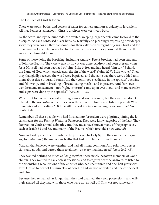#### **The Church of God Is Born**

There were pools, baths, and vessels of water for camels and horses aplenty in Jerusalem. All that Pentecost afternoon, Christ's disciples were very, very busy.

By the score, and by the hundreds, the excited, weeping, eager people came forward to the disciples. As each confessed his or her sins, tearfully and pleadingly expressing how deeply sorry they were for all they had done—for their calloused disregard of Jesus Christ and for their own part in contributing to His death—the disciples quickly lowered them into the water, then brought them up.

Some of those doing the baptizing, including Andrew, Peter's brother, had been students of John the Baptist. They knew exactly how it was done. Andrew had been present when Jesus Himself had been baptized of John (Luke 3:29), and had heard John say, "Behold, the Lamb of God, which taketh away the sin of the world" (John 1:29). Luke wrote, "Then they that gladly received the word were baptized: and the same day there were added unto them about three thousand souls. And they continued steadfastly in the apostles' doctrine and fellowship, and in breaking of bread [eating meals], and in prayers. And fear [awe, wonderment, amazement—not fright, or terror] came upon every soul: and many *wonders* and signs were done by the apostles" (Acts 2:41–43).

We are not told what these astonishing signs and wonders were, but they were no doubt related to the *necessities* of the times. Was the miracle of loaves and fishes repeated? Were there miraculous healings? Did the gift of speaking in foreign languages continue? No doubt it did.

Remember, all these people who had flocked into Jerusalem were pilgrims, joining the local citizens for the *Feast of Weeks,* or Pentecost. They were knowledgeable of the Law. They *knew* about God's annual Sabbaths, and they must have known many of the prophecies, such as Isaiah 52 and 53, and many of the Psalms, which foretold a new *Messiah.*

Now, as God opened their minds by the power of His Holy Spirit, they suddenly began to *see,* to *understand,* the marvelous truths that had been hidden from them before.

"And all that believed were together, and had all things common; And sold their possessions and goods, and parted them to all men, as every man had need" (Acts 2:42–45).

They wanted nothing so much as *being together,* these newly-begotten members of God's church. They wanted to ask endless questions, and to eagerly hear the answers; to listen to the astonishing recollections of the apostles who had spent three and one-half years with Jesus Christ; to hear of His miracles, of how He had walked on water, and healed the deaf and blind.

Because they remained far longer than they had planned, they sold possessions, and willingly shared all they had with those who were not as well off. This was not some early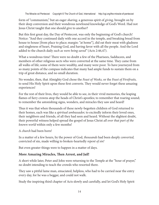form of "communism," but an eager *sharing,* a generous spirit of *giving,* brought on by their deep conversion and their wondrous newfound knowledge of God's Word. Had not Jesus Christ taught that one should give to another?

But this first great day, the Day of Pentecost, was only the beginning of God's church! Notice: "And they continued daily with one accord in the temple, and breaking bread from house to house [from place to place; margin: "at home"], did eat their meat with gladness and singleness of heart, Praising God, and having favor with all the people. And the Lord added to the church daily *such as were being saved"* (Acts 2:46,47).

What a wondrous time! There were no doubt a few of the Pharisees, Sadducees, and members of other religious sects who were converted at the same time. They came from all walks of life; some of them were wealthy, and many were poor. To have journeyed from so many points of the compass indicates that many had ample funds to sustain them on a trip of great distance, and no small duration.

No wonder, then, that Almighty God chose the *Feast of Weeks,* or the *Feast of Firstfruits,* to send His Holy Spirit upon these first converts. They would never forget these amazing experiences!

For the rest of their lives, they would be able to see, in their vivid memories, the leaping flames of fiery crowns atop the heads of Christ's apostles; to remember that roaring sound; to remember the astonishing signs, wonders, and miracles they saw and heard!

Thus it was that when thousands of these newly-begotten children of God returned to their homes, each was like a *spiritual ambassador,* to excitedly inform their loved ones, their neighbors and friends, of all they had seen and heard. Without the slightest doubt, their powerful witness helped spread the gospel of Jesus Christ *all over that part of the known world* within only a few months!

A *church* had been born!

In a matter of a few hours, by the power of God, *thousands* had been deeply *converted,* convicted of sin, made willing to broken-heartedly *repent of sin!*

But even greater things were to happen in a matter of days.

#### **More Amazing Miracles, Then Arrest, and Jail!**

A short while later, Peter and John were returning to the Temple at the "hour of prayer," no doubt intending to teach the crowds who resorted there.

They saw a pitiful lame man, emaciated, helpless, who had to be carried near the entry every day, for he was a beggar, and could not walk.

Study the inspiring third chapter of Acts slowly and carefully, and let God's Holy Spirit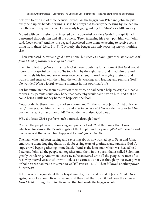help you to drink in of these beautiful words. As the beggar saw Peter and John, he piteously held up his hands, begging, just as he always did to everyone passing by. He had no idea they were anyone special. He was only begging, asking for "alms," or a little money.

Moved with compassion, and inspired by the powerful wonders God's Holy Spirit had performed through him and all the others, "Peter, fastening his eyes upon him with John, said, 'Look on us!' And he [the beggar] gave heed unto them, expecting to receive something from them" (Acts 3:1–5). Obviously, the beggar was only *expecting money,* nothing else.

"Then Peter said, 'Silver and gold have I none; but such as I have I give thee: *In the name of Jesus Christ of Nazareth rise up and walk!"*

Then, in fullest *confidence* and *faith in God,* never doubting for a moment that God would honor this prayerful command, "he took him by the right hand, and lifted him up: and immediately his feet and ankle bones received strength. And he *leaping up* stood, and walked, and entered with them into the temple, walking, and leaping, and praising God!" No wonder! What a joyful, exciting moment in this poor man's life.

For his entire lifetime, from his earliest memories, he had been a helpless cripple. Unable to work, his parents could only hope that passersby would take pity on him, and that he could bring a little money home to help with the food.

Now, suddenly, these men had spoken a command "in the name of Jesus Christ of Nazareth," then grabbed him by the hand, and *now he could walk!* No wonder he cavorted! No wonder he leapt as far as he could! No wonder he praised God aloud!

Why did Jesus Christ perform such a miracle through Peter?

"And all the people saw him walking and praising God: "And they *knew* that it was he which sat for alms at the Beautiful gate of the temple: and they were *filled with wonder* and *amazement* at that which had happened to him" (Acts 3:6–10).

The man, who had been leaping and cavorting about, now rushed up to Peter and John, embracing them, hugging them, no doubt crying tears of gratitude, and praising God. A large crowd began gathering immediately: "And as the lame man which was healed held Peter and John, all the people ran together unto them in the porch that is called Solomon's, greatly wondering. And when Peter saw it, he answered unto all the people, 'Ye men of Israel, why marvel ye at this? or why look ye so earnestly on us, as though by our own power or holiness we had made this man to walk?'" (verses 11,12). Then followed another powerful witness!

Peter preached again about the betrayal, murder, death and burial of Jesus Christ. Once again, he spoke about His *resurrection,* and then told the crowd it had been the *name of Jesus Christ,* through faith in His name, that had made the beggar whole.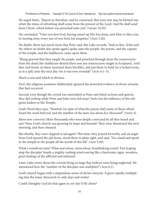He urged them, *"Repent* ye therefore, and be converted, that your sins may be blotted out, when the times of refreshing shall come from the present of the Lord: And He shall send Jesus Christ, which before was preached unto you" (verses 19,20).

He concluded, "Unto you first God, having raised up His Son Jesus, sent Him to *bless* you, in turning away every one of you from his iniquities" (Acts 3:26).

No doubt, there was much more that Peter said. But Luke records, "And as they [John and the others no doubt also spoke again] spake unto the people, the priests, and the captain of the temple, and the Sadducees, came upon them.

"Being grieved that they *taught the people,* and preached through Jesus the resurrection from the dead [the Sadducees denied there was any resurrection taught in Scripture]. And they *laid hands* on them [arrested them forcibly], and put them in hold [in a locked room, as in a jail] unto the next day: for it was now eventide" (Acts 4:1–3).

Much is not said which is obvious.

First, the religious posturers deliberately ignored the powerful evidence of *divine miracles* that had occurred.

Second, even though the crowd was astonished at Peter and John's actions and speech, they did *nothing* while Peter and John were led away! Such was the influence of the religious leaders in the Temple.

God's Word then says, "Howbeit [in spite of what the priests did] many of them which heard the word *believed;* and the number of the men was about *five thousand!"* (verse 4).

More new converts! More thousands who were deeply convicted by all they heard and saw! Now, God's church was growing by leaps and bounds! They were threatened the next morning, and then released.

But shortly, they were clapped in jail again! This time, they prayed fervently, and an angel from God opened the jail doors, stood there in plain sight, and said, "Go, stand and speak in the temple to the people all the words of this life" (Acts 5:20).

What a wondrous time! What marvelous, miraculous, breathtaking events! Fire leaping atop the disciples' heads; a mighty rushing wind roaring like a hurricane; signs, wonders, *great healings* of the afflicted and infirmed.

Later, Luke wrote about the crowds being so large that widows were being neglected. He mentioned how the "number of the disciples was *multiplied"* (Acts 6:1).

God's church began with a stupendous series of divine *miracles.* It grew *rapidly,* multiplying into the many *thousands* in only days and weeks!

Could Almighty God do that again in *our day* if He chose?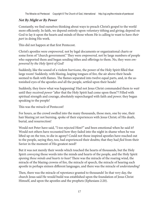### *Not By Might or By Power*

Constantly, we find ourselves thinking about ways to preach Christ's gospel to the world more efficiently. In faith, we depend entirely upon *voluntary* tithing and giving; depend on God to lay it upon the hearts and minds of those whom He is calling to want to have *their part* in doing His work.

This did not happen at that first Pentecost.

Christ's apostles were *empowered,* not by legal documents or organizational charts or some form of "church government." They were *empowered,* not by large numbers of people who supported them and began sending tithes and offerings to them. No, they were *empowered by the Holy Spirit of God!*

Suddenly, like the sound of a violent *hurricane,* the power of the Holy Spirit filled that large room! Suddenly, with blazing, leaping tongues of fire, the air above their heads seemed to flash with flames. The flames separated into twelve equal parts, and, in the astonished eyes of the apostles *and* all the people, settled upon their heads!

Suddenly, they *knew* what was happening! Had not Jesus Christ commanded them to *wait* until they received *power* "after that the Holy Spirit had come upon them"? Filled with spiritual strength and courage, absolutely supercharged with faith and *power,* they began speaking to the people!

This was the *miracle* of Pentecost!

For hours, as the crowd swelled into the many thousands, those men, one by one, their hair blazing yet not burning, spoke of their experiences with Jesus Christ; of His death, burial, and resurrection!

Would not Peter have said, "I too rejected Him?" and been emotional when he said it? Would not others have recounted how they faded into the night in shame when he was lifted up on the tree, to die in agony? Could not those inspired apostles have reached out to the people, saying they, too, had experienced their doubts; that they had *fled* from their Savior in the moment of His greatest need?

But it was not merely their words which touched the hearts of thousands, but the Holy Spirit *conveying* those words into the minds and hearts of the people, and the Holy Spirit *opening those minds and hearts to hear!* There was the miracle of the roaring wind, the miracle of the blazing crowns of fire, the miracle of speech, the miracle of hearing each apostle in perhaps sixteen different languages, and there was the miracle of *understanding!*

Then, there was the miracle of *repentance* granted to thousands! In that very day, the church Jesus said He would build was established upon the foundation of Jesus Christ Himself, and upon the apostles and the prophets (Ephesians 2:20).